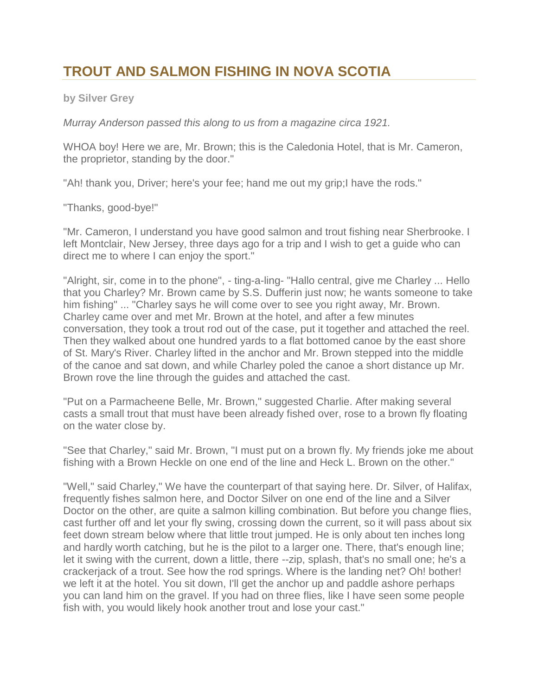## **TROUT AND SALMON FISHING IN NOVA SCOTIA**

**by Silver Grey**

*Murray Anderson passed this along to us from a magazine circa 1921.*

WHOA boy! Here we are, Mr. Brown; this is the Caledonia Hotel, that is Mr. Cameron, the proprietor, standing by the door."

"Ah! thank you, Driver; here's your fee; hand me out my grip; I have the rods."

"Thanks, good-bye!"

"Mr. Cameron, I understand you have good salmon and trout fishing near Sherbrooke. I left Montclair, New Jersey, three days ago for a trip and I wish to get a guide who can direct me to where I can enjoy the sport."

"Alright, sir, come in to the phone", - ting-a-ling- "Hallo central, give me Charley ... Hello that you Charley? Mr. Brown came by S.S. Dufferin just now; he wants someone to take him fishing" ... "Charley says he will come over to see you right away, Mr. Brown. Charley came over and met Mr. Brown at the hotel, and after a few minutes conversation, they took a trout rod out of the case, put it together and attached the reel. Then they walked about one hundred yards to a flat bottomed canoe by the east shore of St. Mary's River. Charley lifted in the anchor and Mr. Brown stepped into the middle of the canoe and sat down, and while Charley poled the canoe a short distance up Mr. Brown rove the line through the guides and attached the cast.

"Put on a Parmacheene Belle, Mr. Brown," suggested Charlie. After making several casts a small trout that must have been already fished over, rose to a brown fly floating on the water close by.

"See that Charley," said Mr. Brown, "I must put on a brown fly. My friends joke me about fishing with a Brown Heckle on one end of the line and Heck L. Brown on the other."

"Well," said Charley," We have the counterpart of that saying here. Dr. Silver, of Halifax, frequently fishes salmon here, and Doctor Silver on one end of the line and a Silver Doctor on the other, are quite a salmon killing combination. But before you change flies, cast further off and let your fly swing, crossing down the current, so it will pass about six feet down stream below where that little trout jumped. He is only about ten inches long and hardly worth catching, but he is the pilot to a larger one. There, that's enough line; let it swing with the current, down a little, there --zip, splash, that's no small one; he's a crackerjack of a trout. See how the rod springs. Where is the landing net? Oh! bother! we left it at the hotel. You sit down, I'll get the anchor up and paddle ashore perhaps you can land him on the gravel. If you had on three flies, like I have seen some people fish with, you would likely hook another trout and lose your cast."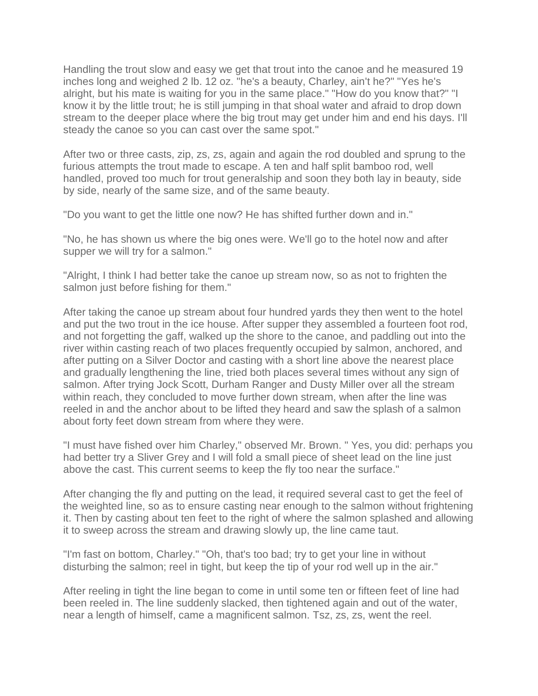Handling the trout slow and easy we get that trout into the canoe and he measured 19 inches long and weighed 2 lb. 12 oz. "he's a beauty, Charley, ain't he?" "Yes he's alright, but his mate is waiting for you in the same place." "How do you know that?" "I know it by the little trout; he is still jumping in that shoal water and afraid to drop down stream to the deeper place where the big trout may get under him and end his days. I'll steady the canoe so you can cast over the same spot."

After two or three casts, zip, zs, zs, again and again the rod doubled and sprung to the furious attempts the trout made to escape. A ten and half split bamboo rod, well handled, proved too much for trout generalship and soon they both lay in beauty, side by side, nearly of the same size, and of the same beauty.

"Do you want to get the little one now? He has shifted further down and in."

"No, he has shown us where the big ones were. We'll go to the hotel now and after supper we will try for a salmon."

"Alright, I think I had better take the canoe up stream now, so as not to frighten the salmon just before fishing for them."

After taking the canoe up stream about four hundred yards they then went to the hotel and put the two trout in the ice house. After supper they assembled a fourteen foot rod, and not forgetting the gaff, walked up the shore to the canoe, and paddling out into the river within casting reach of two places frequently occupied by salmon, anchored, and after putting on a Silver Doctor and casting with a short line above the nearest place and gradually lengthening the line, tried both places several times without any sign of salmon. After trying Jock Scott, Durham Ranger and Dusty Miller over all the stream within reach, they concluded to move further down stream, when after the line was reeled in and the anchor about to be lifted they heard and saw the splash of a salmon about forty feet down stream from where they were.

"I must have fished over him Charley," observed Mr. Brown. " Yes, you did: perhaps you had better try a Sliver Grey and I will fold a small piece of sheet lead on the line just above the cast. This current seems to keep the fly too near the surface."

After changing the fly and putting on the lead, it required several cast to get the feel of the weighted line, so as to ensure casting near enough to the salmon without frightening it. Then by casting about ten feet to the right of where the salmon splashed and allowing it to sweep across the stream and drawing slowly up, the line came taut.

"I'm fast on bottom, Charley." "Oh, that's too bad; try to get your line in without disturbing the salmon; reel in tight, but keep the tip of your rod well up in the air."

After reeling in tight the line began to come in until some ten or fifteen feet of line had been reeled in. The line suddenly slacked, then tightened again and out of the water, near a length of himself, came a magnificent salmon. Tsz, zs, zs, went the reel.